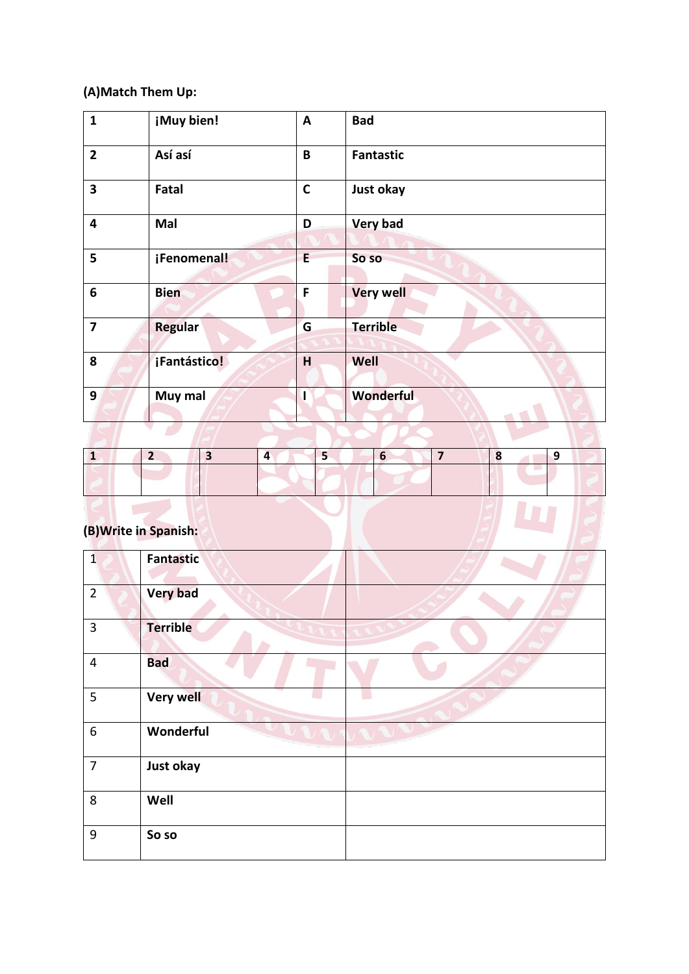### **(A)Match Them Up:**

| $\mathbf{1}$            | ¡Muy bien!     | A           | <b>Bad</b>       |
|-------------------------|----------------|-------------|------------------|
| $\overline{2}$          | Así así        | B           | <b>Fantastic</b> |
| $\overline{\mathbf{3}}$ | Fatal          | $\mathbf C$ | Just okay        |
| 4                       | Mal            | D           | <b>Very bad</b>  |
| 5                       | ¡Fenomenal!    | E.          | So so            |
| 6                       | <b>Bien</b>    | F           | <b>Very well</b> |
| $\overline{\mathbf{z}}$ | <b>Regular</b> | G           | <b>Terrible</b>  |
| 8                       | ¡Fantástico!   | H           | Well             |
| 9                       | Muy mal        |             | Wonderful        |
|                         |                |             |                  |

| (B) Write in Spanish: |  |  |  |  |  |
|-----------------------|--|--|--|--|--|

# **(B)Write in Spanish:**

| $\overline{1}$          | <b>Fantastic</b> |  |
|-------------------------|------------------|--|
| $\overline{2}$          | <b>Very bad</b>  |  |
| $\overline{3}$          | <b>Terrible</b>  |  |
| $\overline{\mathbf{4}}$ | <b>Bad</b>       |  |
| 5                       | <b>Very well</b> |  |
| 6                       | Wonderful        |  |
| $\overline{7}$          | Just okay        |  |
| 8                       | Well             |  |
| 9                       | So so            |  |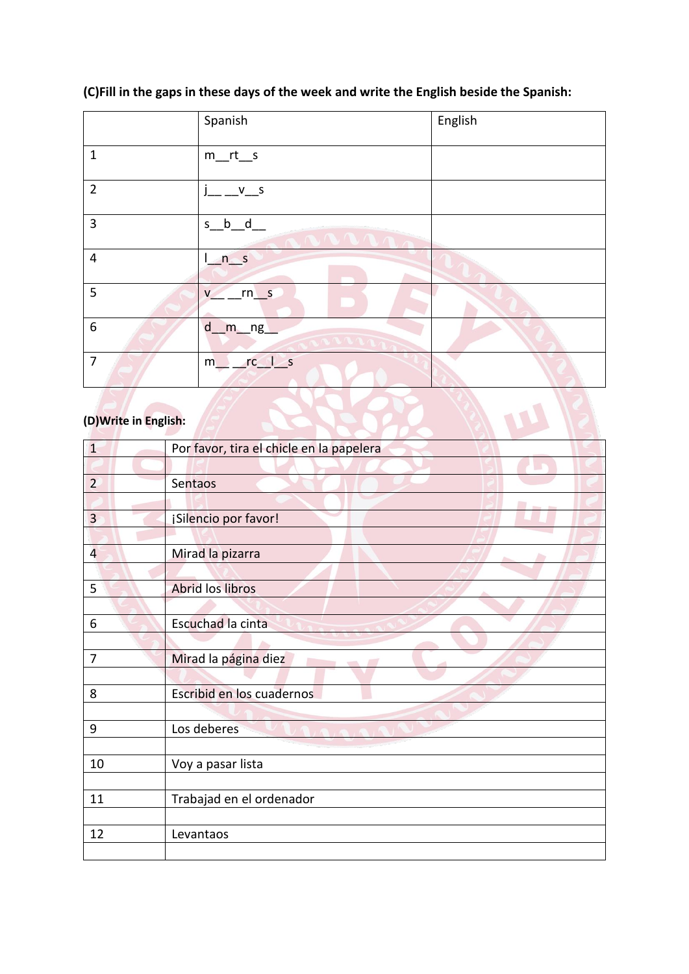### **(C)Fill in the gaps in these days of the week and write the English beside the Spanish:**

|                  | Spanish                | English |
|------------------|------------------------|---------|
| $\mathbf{1}$     | $m_{rt\_s}$            |         |
| $\overline{2}$   | $v_2 = -\frac{V}{V}$   |         |
| $\overline{3}$   | $s_b_d$<br>AAAA        |         |
| $\overline{4}$   | n <sub>s</sub>         |         |
| 5                | $rn$ s<br>$\mathsf{V}$ |         |
| $\boldsymbol{6}$ | $d$ <sub>m_ng</sub>    |         |
| $\overline{7}$   | $rc_l$<br>m            |         |

### **(D)Write in English:**

| (D) Write in English: |                                          |
|-----------------------|------------------------------------------|
| $\overline{1}$        | Por favor, tira el chicle en la papelera |
|                       |                                          |
| $\overline{2}$        | Sentaos                                  |
|                       |                                          |
| $\overline{3}$        | ¡Silencio por favor!                     |
|                       |                                          |
| $\overline{4}$        | Mirad la pizarra                         |
|                       |                                          |
| 5                     | Abrid los libros                         |
|                       |                                          |
| 6                     | Escuchad la cinta                        |
|                       |                                          |
| $\overline{7}$        | Mirad la página diez                     |
|                       |                                          |
| 8                     | Escribid en los cuadernos                |
|                       |                                          |
| 9                     | Los deberes                              |
|                       |                                          |
| 10                    | Voy a pasar lista                        |
|                       |                                          |
| 11                    | Trabajad en el ordenador                 |
| 12                    |                                          |
|                       | Levantaos                                |
|                       |                                          |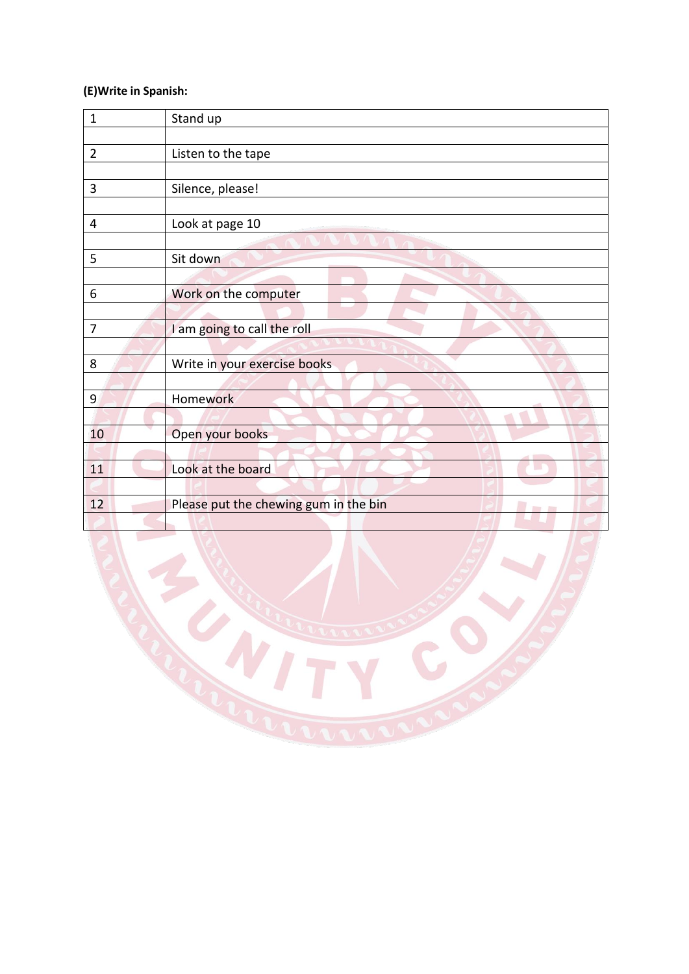# **(E)Write in Spanish:**

| $\mathbf{1}$   | Stand up                                               |
|----------------|--------------------------------------------------------|
|                |                                                        |
| $\overline{2}$ | Listen to the tape                                     |
|                |                                                        |
| 3              | Silence, please!                                       |
|                |                                                        |
| 4              | Look at page 10                                        |
|                |                                                        |
| 5              | Sit down                                               |
|                |                                                        |
| 6              | Work on the computer                                   |
|                |                                                        |
| $\overline{7}$ | I am going to call the roll                            |
|                |                                                        |
| 8              | Write in your exercise books                           |
|                |                                                        |
| 9              | Homework                                               |
|                |                                                        |
| 10             | Open your books                                        |
|                |                                                        |
| 11             | Look at the board                                      |
|                |                                                        |
| 12             | Please put the chewing gum in the bin<br><b>The Co</b> |
|                |                                                        |

 $\mathcal{L}$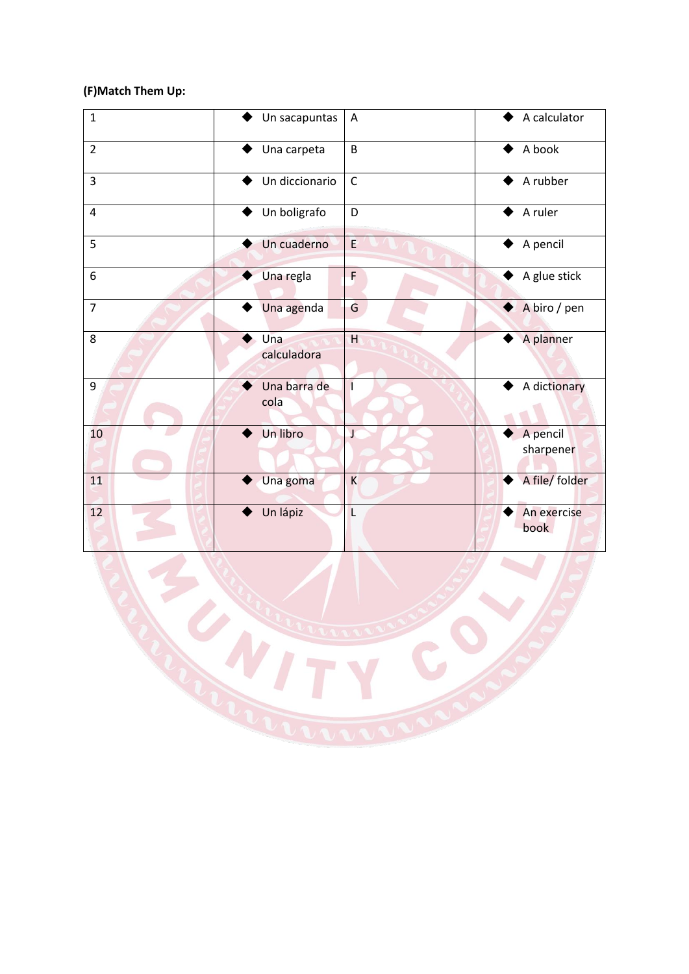# **(F)Match Them Up:**

| $\mathbf{1}$   | Un sacapuntas        | A           | A calculator          |
|----------------|----------------------|-------------|-----------------------|
| $\overline{2}$ | Una carpeta          | B           | A book                |
| 3              | Un diccionario       | $\mathsf C$ | A rubber              |
| 4              | Un boligrafo         | D           | A ruler               |
| 5              | Un cuaderno          | E           | A pencil              |
| 6              | Una regla            | F           | A glue stick          |
| $\overline{7}$ | Una agenda           | G           | A biro / pen          |
| 8              | Una<br>calculadora   | H           | A planner             |
| 9              | Una barra de<br>cola |             | A dictionary          |
| 10             | Un libro             | J           | A pencil<br>sharpener |
| 11             | Una goma             | K           | A file/ folder        |
| 12             | Un lápiz             | L           | An exercise<br>book   |

 $\mathcal{L}$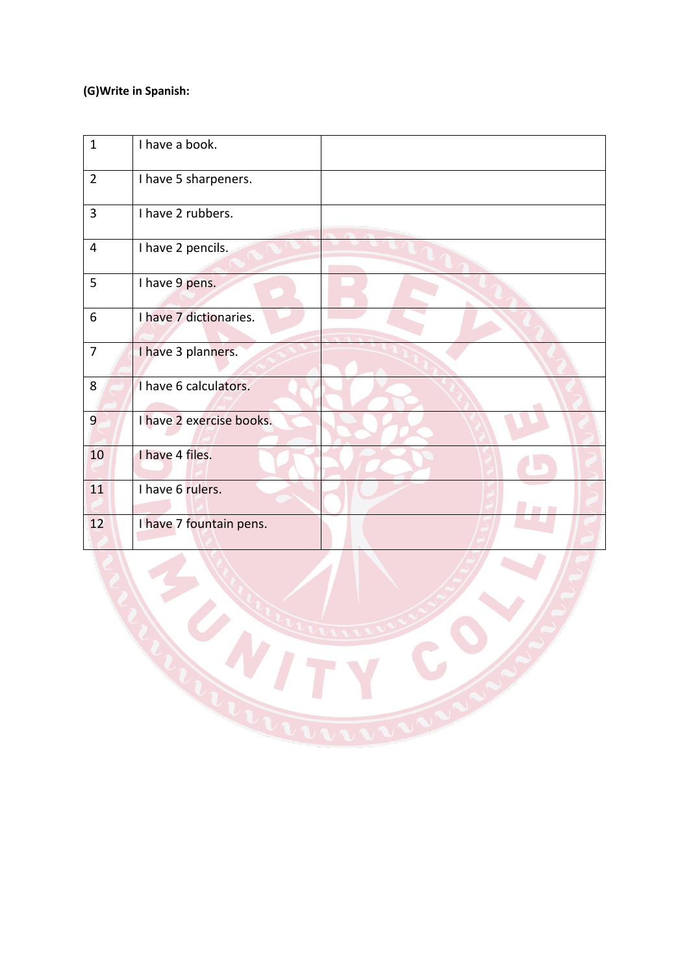# **(G)Write in Spanish:**

| $\mathbf{1}$   | I have a book.           |  |
|----------------|--------------------------|--|
| $\overline{2}$ | I have 5 sharpeners.     |  |
| $\overline{3}$ | I have 2 rubbers.        |  |
| 4              | I have 2 pencils.        |  |
| 5              | I have 9 pens.           |  |
| 6              | I have 7 dictionaries.   |  |
| $\overline{7}$ | I have 3 planners.       |  |
| 8              | I have 6 calculators.    |  |
| $\overline{9}$ | I have 2 exercise books. |  |
| 10             | I have 4 files.          |  |
| 11             | I have 6 rulers.         |  |
| 12             | I have 7 fountain pens.  |  |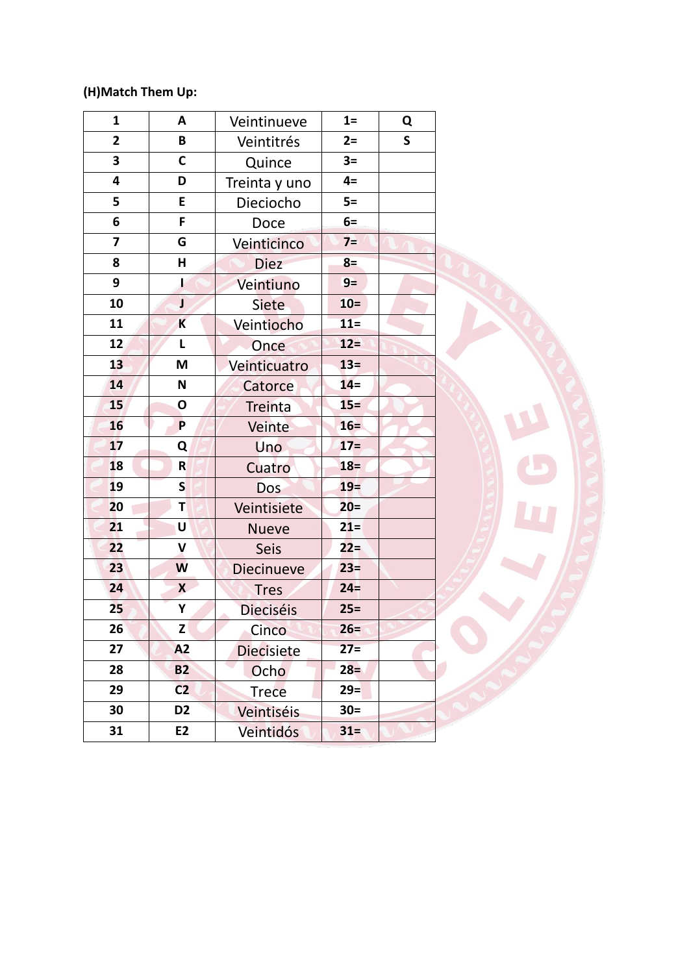# **(H)Match Them Up:**

| 1              | A                         | Veintinueve       | $1=$   | Q            |
|----------------|---------------------------|-------------------|--------|--------------|
| $\overline{2}$ | B                         | Veintitrés        | $2=$   | $\mathsf{S}$ |
| 3              | C                         | Quince            | $3=$   |              |
| 4              | D                         | Treinta y uno     | $4=$   |              |
| 5              | E                         | Dieciocho         | $5=$   |              |
| 6              | F                         | Doce              | $6=$   |              |
| 7              | G                         | Veinticinco       | $7=$   |              |
| 8              | н                         | <b>Diez</b>       | $8=$   |              |
| 9              | ł                         | Veintiuno         | $9=$   |              |
| 10             | J                         | <b>Siete</b>      | $10=$  |              |
| 11             | K                         | Veintiocho        | $11 =$ |              |
| 12             | L                         | Once              | $12 =$ |              |
| 13             | M                         | Veinticuatro      | $13=$  |              |
| 14             | N                         | Catorce           | $14=$  |              |
| 15             | $\mathbf{o}$              | <b>Treinta</b>    | $15 =$ |              |
| 16             | P                         | Veinte            | $16=$  |              |
| 17             | Q                         | <b>Uno</b>        | $17=$  |              |
| 18             | R                         | Cuatro            | $18 =$ |              |
| 19             | S                         | Dos               | $19=$  |              |
| 20             | Т                         | Veintisiete       | $20 =$ |              |
| 21             | U                         | <b>Nueve</b>      | $21 =$ |              |
| 22             | V                         | <b>Seis</b>       | $22 =$ |              |
| 23             | W                         | <b>Diecinueve</b> | $23=$  |              |
| 24             | $\boldsymbol{\mathsf{x}}$ | <b>Tres</b>       | $24 =$ |              |
| 25             | Υ                         | <b>Dieciséis</b>  | $25 =$ |              |
| 26             | Z                         | Cinco             | $26 =$ |              |
| 27             | A2                        | <b>Diecisiete</b> | $27=$  |              |
| 28             | <b>B2</b>                 | Ocho              | $28 =$ |              |
| 29             | C <sub>2</sub>            | <b>Trece</b>      | $29 =$ |              |
| 30             | D <sub>2</sub>            | Veintiséis        | $30 =$ |              |
| 31             | E <sub>2</sub>            | <b>Veintidós</b>  | $31=$  |              |

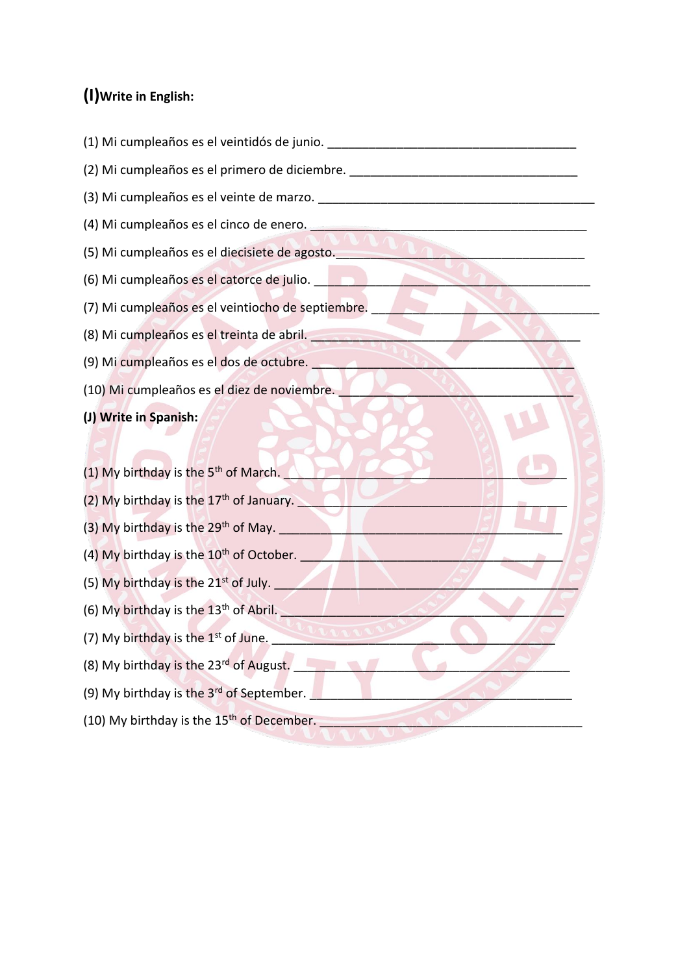# **(I)Write in English:**

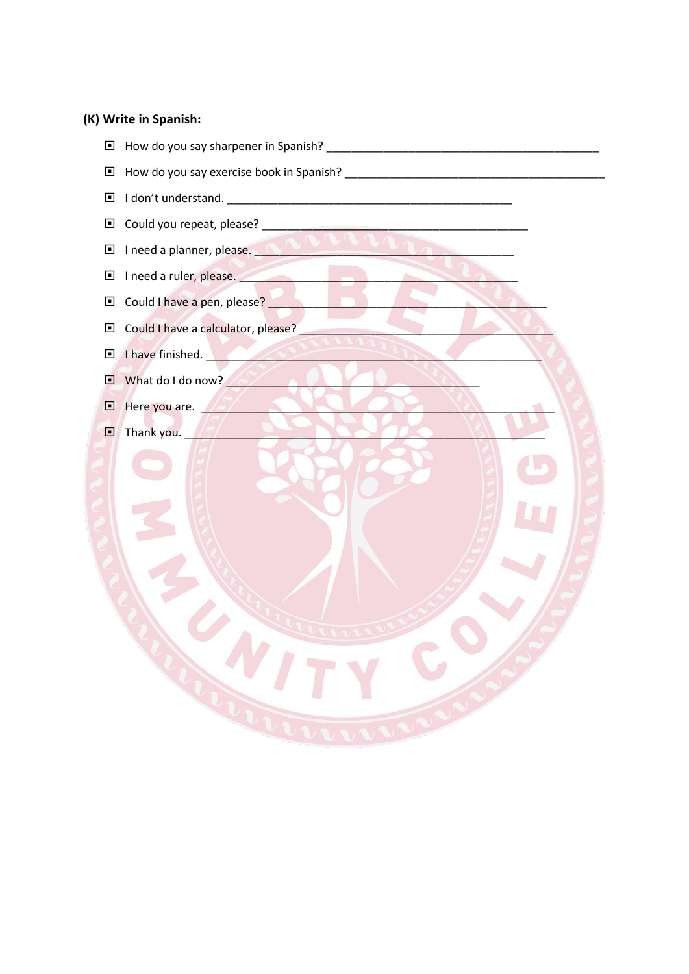#### (K) Write in Spanish:

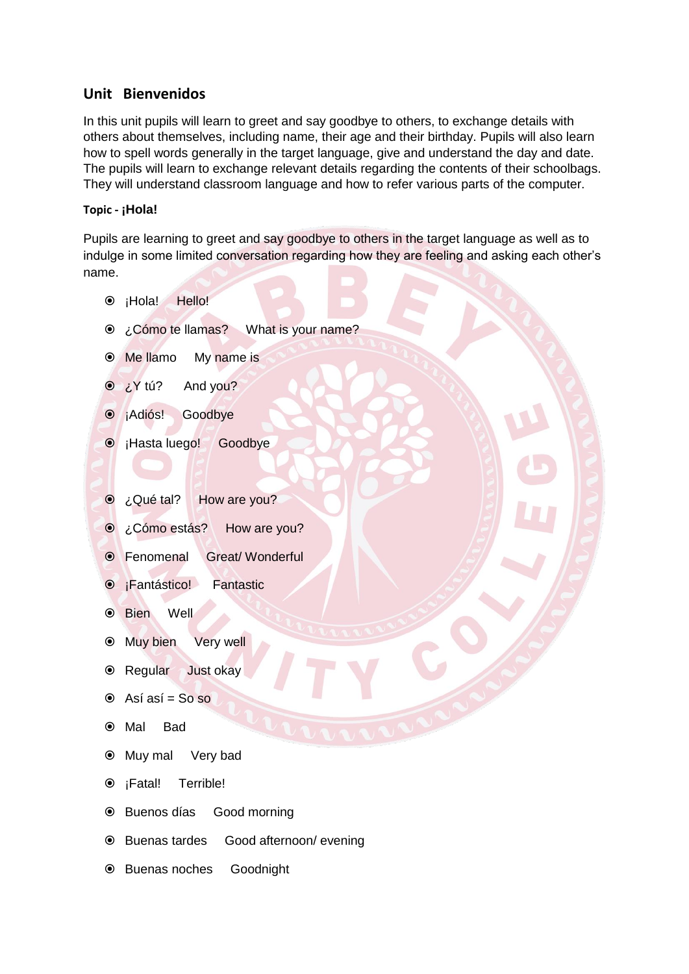### **Unit Bienvenidos**

In this unit pupils will learn to greet and say goodbye to others, to exchange details with others about themselves, including name, their age and their birthday. Pupils will also learn how to spell words generally in the target language, give and understand the day and date. The pupils will learn to exchange relevant details regarding the contents of their schoolbags. They will understand classroom language and how to refer various parts of the computer.

#### **Topic - ¡Hola!**

Pupils are learning to greet and say goodbye to others in the target language as well as to indulge in some limited conversation regarding how they are feeling and asking each other's name.

- $\odot$  ¡Hola! Hello!
- **◎** ¿Cómo te llamas? What is your name?
- Me llamo My name is
- $\odot$  *i* Y tú? And you?
- $\odot$  ¡Adiós! Goodbye
- ¡Hasta luego! Goodbye
- ¿Qué tal? How are you?
- ¿Cómo estás? How are you?
- Fenomenal Great/ Wonderful
- **•** ¡Fantástico! Fantastic
- Bien Well
- <sup>●</sup> Muy bien Very well
- Regular Just okay
- $\odot$  Así así = So so
- Mal Bad
- Muy mal Very bad
- <sup>●</sup> ¡Fatal! Terrible!
- Buenos días Good morning
- Buenas tardes Good afternoon/ evening
- Buenas noches Goodnight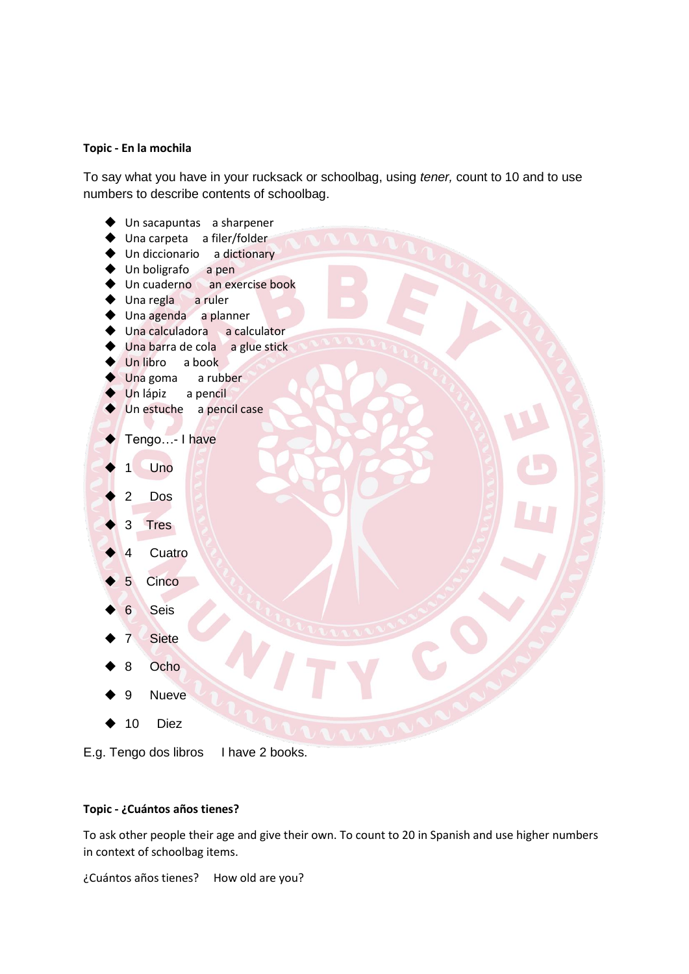#### **Topic - En la mochila**

To say what you have in your rucksack or schoolbag, using *tener,* count to 10 and to use numbers to describe contents of schoolbag.



E.g. Tengo dos libros I have 2 books.

#### **Topic - ¿Cuántos años tienes?**

To ask other people their age and give their own. To count to 20 in Spanish and use higher numbers in context of schoolbag items.

¿Cuántos años tienes? How old are you?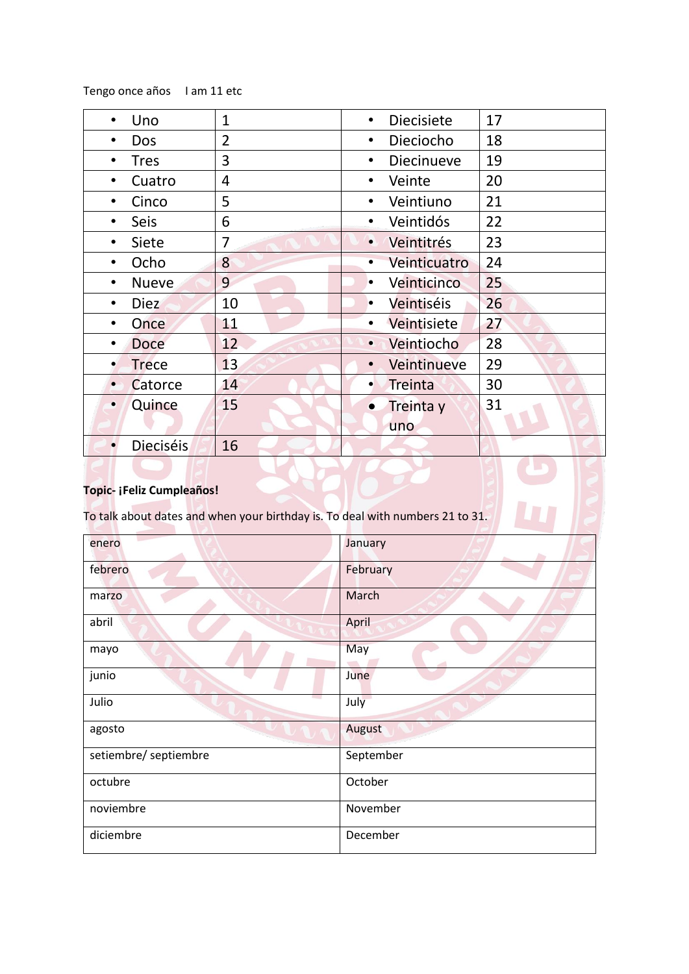Tengo once años I am 11 etc

| $\mathbf{1}$   | <b>Diecisiete</b><br>$\bullet$ | 17 |
|----------------|--------------------------------|----|
| $\overline{2}$ | Dieciocho<br>$\bullet$         | 18 |
| 3              | <b>Diecinueve</b><br>$\bullet$ | 19 |
| 4              | Veinte<br>$\bullet$            | 20 |
| 5              | Veintiuno<br>$\bullet$         | 21 |
| 6              | Veintidós<br>$\bullet$         | 22 |
| 7              | Veintitrés<br>$\bullet$        | 23 |
| 8              | Veinticuatro<br>٠              | 24 |
| 9              | Veinticinco<br>$\bullet$       | 25 |
| 10             | Veintiséis<br>$\bullet$        | 26 |
| 11             | Veintisiete                    | 27 |
| 12             | Veintiocho<br>$\bullet$        | 28 |
| 13             | Veintinueve<br>$\bullet$       | 29 |
| 14             | Treinta<br>$\bullet$           | 30 |
| 15             | Treinta y<br>$\bullet$         | 31 |
|                | uno                            |    |
| 16             |                                |    |
|                |                                |    |

### **Topic- ¡Feliz Cumpleaños!**

To talk about dates and when your birthday is. To deal with numbers 21 to 31.

| enero                   | January   |
|-------------------------|-----------|
| febrero                 | February  |
| marzo                   | March     |
| abril                   | April     |
| mayo                    | May       |
| junio                   | June      |
| <b>Service</b><br>Julio | July      |
| agosto                  | August    |
| setiembre/ septiembre   | September |
| octubre                 | October   |
| noviembre               | November  |
| diciembre               | December  |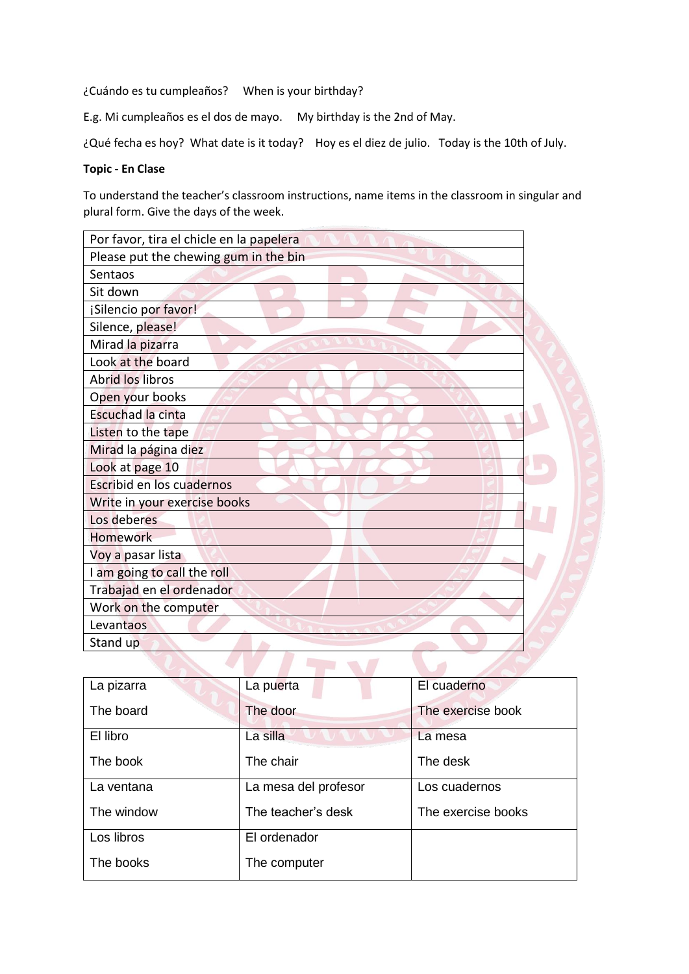¿Cuándo es tu cumpleaños? When is your birthday?

E.g. Mi cumpleaños es el dos de mayo. My birthday is the 2nd of May.

¿Qué fecha es hoy? What date is it today? Hoy es el diez de julio. Today is the 10th of July.

#### **Topic - En Clase**

To understand the teacher's classroom instructions, name items in the classroom in singular and plural form. Give the days of the week.

| Por favor, tira el chicle en la papelera |  |
|------------------------------------------|--|
| Please put the chewing gum in the bin    |  |
| Sentaos                                  |  |
| Sit down                                 |  |
| ¡Silencio por favor!                     |  |
| Silence, please!                         |  |
| Mirad la pizarra                         |  |
| Look at the board                        |  |
| <b>Abrid los libros</b>                  |  |
| Open your books                          |  |
| Escuchad la cinta                        |  |
| Listen to the tape                       |  |
| Mirad la página diez                     |  |
| Look at page 10                          |  |
| Escribid en los cuadernos                |  |
| Write in your exercise books             |  |
| Los deberes                              |  |
| <b>Homework</b>                          |  |
| Voy a pasar lista                        |  |
| I am going to call the roll              |  |
| Trabajad en el ordenador                 |  |
| Work on the computer                     |  |
| Levantaos                                |  |
| Stand up                                 |  |
|                                          |  |

| La pizarra | La puerta            | El cuaderno        |
|------------|----------------------|--------------------|
| The board  | The door             | The exercise book  |
| El libro   | La silla             | La mesa            |
| The book   | The chair            | The desk           |
| La ventana | La mesa del profesor | Los cuadernos      |
| The window | The teacher's desk   | The exercise books |
| Los libros | El ordenador         |                    |
| The books  | The computer         |                    |
|            |                      |                    |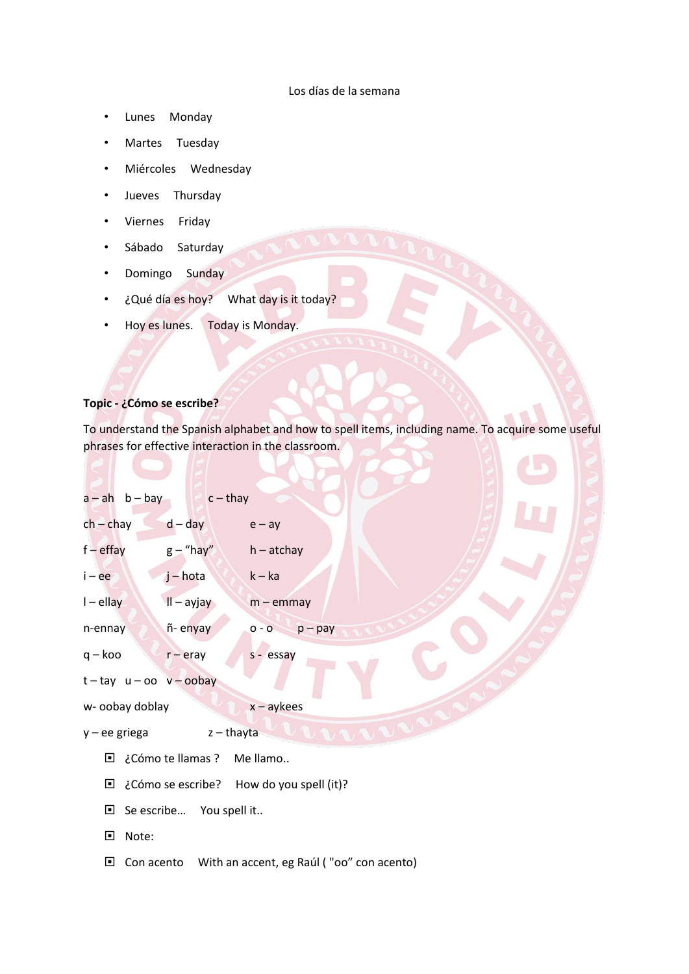#### Los días de la semana

- Lunes Monday
- Martes Tuesday
- Miércoles Wednesday
- Jueves Thursday
- Viernes Friday
- Sábado Saturday
- Domingo Sunday
- ¿Qué día es hoy? What day is it today?
- Hoy es lunes. Today is Monday.

#### **Topic - ¿Cómo se escribe?**

To understand the Spanish alphabet and how to spell items, including name. To acquire some useful phrases for effective interaction in the classroom.

|                         | $a - ah$ b - bay c - thay      |                                                      |
|-------------------------|--------------------------------|------------------------------------------------------|
| $ch - chay$             | $d - day$                      | $e - ay$                                             |
| $f$ – effay             | $g$ – "hay"                    | h – atchay                                           |
| $i - ee$                | j – hota                       | $k - ka$                                             |
| $I$ – ellay             | $II - a$ yjay                  | $m$ – emmay                                          |
| n-ennay                 | ñ-enyay                        | $o - o$ $p - pay$                                    |
| $q - k$ oo              | $r$ – eray                     | s - essay                                            |
|                         | $t - tay$ $u - oo$ $v - oobay$ |                                                      |
| w- oobay doblay         |                                | $x - a$ ykees                                        |
| $y - ee$ griega         | z – thayta                     | <b>LETTER</b>                                        |
|                         | □ ¿Cómo te llamas ? Me llamo   |                                                      |
|                         |                                | $\Box$ ¿Cómo se escribe? How do you spell (it)?      |
|                         | $\Box$ Se escribe You spell it |                                                      |
| $\blacksquare$<br>Note: |                                |                                                      |
| $\Box$                  |                                | Con acento With an accent, eg Raúl ("oo" con acento) |
|                         |                                |                                                      |